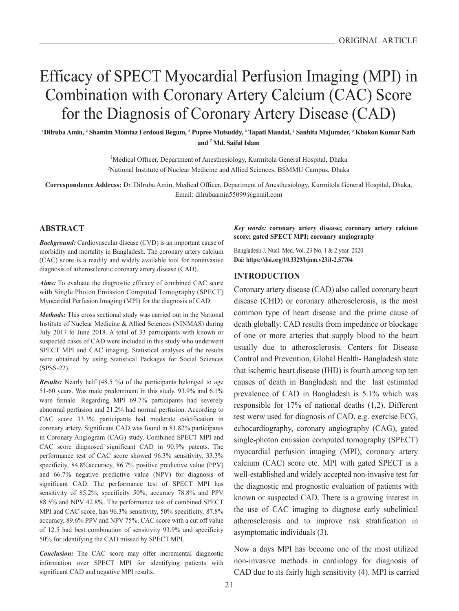# Efficacy of SPECT Myocardial Perfusion Imaging (MPI) in Combination with Coronary Artery Calcium (CAC) Score for the Diagnosis of Coronary Artery Disease (CAD)

**<sup>1</sup>Dilruba Amin, <sup>2</sup> Shamim Momtaz Ferdousi Begum, <sup>2</sup> Pupree Mutsuddy, <sup>2</sup> Tapati Mandal, <sup>2</sup> Sanhita Majumder, <sup>2</sup> Khokon Kumar Nath and <sup>2</sup> Md. Saiful Islam**

> <sup>1</sup>Medical Officer, Department of Anesthesiology, Kurmitola General Hospital, Dhaka <sup>2</sup>National Institute of Nuclear Medicine and Allied Sciences, BSMMU Campus, Dhaka

**Correspondence Address:** Dr. Dilruba Amin, Medical Officer, Department of Anesthesiology, Kurmitola General Hospital, Dhaka, Email: dilrubaamin55099@gmail.com

## **ABSTRACT**

*Background:* Cardiovascular disease (CVD) is an important cause of morbidity and mortality in Bangladesh. The coronary artery calcium (CAC) score is a readily and widely available tool for noninvasive diagnosis of atherosclerotic coronary artery disease (CAD).

*Aims:* To evaluate the diagnostic efficacy of combined CAC score with Single Photon Emission Computed Tomography (SPECT) Myocardial Perfusion Imaging (MPI) for the diagnosis of CAD.

*Methods:* This cross sectional study was carried out in the National Institute of Nuclear Medicine & Allied Sciences (NINMAS) during July 2017 to June 2018. A total of 33 participants with known or suspected cases of CAD were included in this study who underwent SPECT MPI and CAC imaging. Statistical analyses of the results were obtained by using Statistical Packages for Social Sciences (SPSS-22).

*Results:* Nearly half (48.5 %) of the participants belonged to age 51-60 years. Was male predominant in this study, 93.9% and 6.1% ware female. Regarding MPI 69.7% participants had severely abnormal perfusion and 21.2% had normal perfusion. According to CAC score 33.3% participants had moderate calcification in coronary artery. Significant CAD was found in 81.82% participants in Coronary Angiogram (CAG) study. Combined SPECT MPI and CAC score diagnosed significant CAD in 90.9% patents. The performance test of CAC score showed 96.3% sensitivity, 33.3% specificity, 84.8%accuracy, 86.7% positive predictive value (PPV) and 66.7% negative predictive value (NPV) for diagnosis of significant CAD. The performance test of SPECT MPI has sensitivity of 85.2%, specificity 50%, accuracy 78.8% and PPV 88.5% and NPV 42.8%. The performance test of combined SPECT MPI and CAC score, has 96.3% sensitivity, 50% specificity, 87.8% accuracy, 89.6% PPV and NPV 75%. CAC score with a cut off value of 12.5 had best combination of sensitivity 93.9% and specificity 50% for identifying the CAD missed by SPECT MPI.

*Conclusion:* The CAC score may offer incremental diagnostic information over SPECT MPI for identifying patients with significant CAD and negative MPI results.

*Key words:* **coronary artery disease; coronary artery calcium score; gated SPECT MPI; coronary angiography**

Bangladesh J. Nucl. Med. Vol. 23 No. 1 & 2 year 2020 **Doi: https://doi.org/10.3329/bjnm.v23i1-2.57704**

#### **INTRODUCTION**

Coronary artery disease (CAD) also called coronary heart disease (CHD) or coronary atherosclerosis, is the most common type of heart disease and the prime cause of death globally. CAD results from impedance or blockage of one or more arteries that supply blood to the heart usually due to atherosclerosis. Centers for Disease Control and Prevention, Global Health- Bangladesh state that ischemic heart disease (IHD) is fourth among top ten causes of death in Bangladesh and the last estimated prevalence of CAD in Bangladesh is 5.1% which was responsible for 17% of national deaths (1,2). Different test werw used for diagnosis of CAD, e.g. exercise ECG, echocardiography, coronary angiography (CAG), gated single-photon emission computed tomography (SPECT) myocardial perfusion imaging (MPI), coronary artery calcium (CAC) score etc. MPI with gated SPECT is a well-established and widely accepted non-invasive test for the diagnostic and prognostic evaluation of patients with known or suspected CAD. There is a growing interest in the use of CAC imaging to diagnose early subclinical atherosclerosis and to improve risk stratification in asymptomatic individuals (3).

Now a days MPI has become one of the most utilized non-invasive methods in cardiology for diagnosis of CAD due to its fairly high sensitivity (4). MPI is carried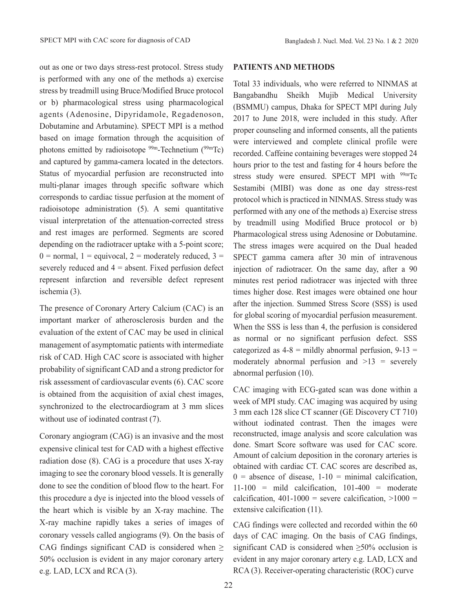out as one or two days stress-rest protocol. Stress study is performed with any one of the methods a) exercise stress by treadmill using Bruce/Modified Bruce protocol or b) pharmacological stress using pharmacological agents (Adenosine, Dipyridamole, Regadenoson, Dobutamine and Arbutamine). SPECT MPI is a method based on image formation through the acquisition of photons emitted by radioisotope  $99m$ -Technetium  $(99m)$ Tc) and captured by gamma-camera located in the detectors. Status of myocardial perfusion are reconstructed into multi-planar images through specific software which corresponds to cardiac tissue perfusion at the moment of radioisotope administration (5). A semi quantitative visual interpretation of the attenuation-corrected stress and rest images are performed. Segments are scored depending on the radiotracer uptake with a 5-point score;  $0 =$  normal,  $1 =$  equivocal,  $2 =$  moderately reduced,  $3 =$ severely reduced and  $4 =$  absent. Fixed perfusion defect represent infarction and reversible defect represent ischemia (3).

The presence of Coronary Artery Calcium (CAC) is an important marker of atherosclerosis burden and the evaluation of the extent of CAC may be used in clinical management of asymptomatic patients with intermediate risk of CAD. High CAC score is associated with higher probability of significant CAD and a strong predictor for risk assessment of cardiovascular events (6). CAC score is obtained from the acquisition of axial chest images, synchronized to the electrocardiogram at 3 mm slices without use of iodinated contrast (7).

Coronary angiogram (CAG) is an invasive and the most expensive clinical test for CAD with a highest effective radiation dose (8). CAG is a procedure that uses X-ray imaging to see the coronary blood vessels. It is generally done to see the condition of blood flow to the heart. For this procedure a dye is injected into the blood vessels of the heart which is visible by an X-ray machine. The X-ray machine rapidly takes a series of images of coronary vessels called angiograms (9). On the basis of CAG findings significant CAD is considered when  $\geq$ 50% occlusion is evident in any major coronary artery e.g. LAD, LCX and RCA (3).

## **PATIENTS AND METHODS**

Total 33 individuals, who were referred to NINMAS at Bangabandhu Sheikh Mujib Medical University (BSMMU) campus, Dhaka for SPECT MPI during July 2017 to June 2018, were included in this study. After proper counseling and informed consents, all the patients were interviewed and complete clinical profile were recorded. Caffeine containing beverages were stopped 24 hours prior to the test and fasting for 4 hours before the stress study were ensured. SPECT MPI with <sup>99m</sup>Tc Sestamibi (MIBI) was done as one day stress-rest protocol which is practiced in NINMAS. Stress study was performed with any one of the methods a) Exercise stress by treadmill using Modified Bruce protocol or b) Pharmacological stress using Adenosine or Dobutamine. The stress images were acquired on the Dual headed SPECT gamma camera after 30 min of intravenous injection of radiotracer. On the same day, after a 90 minutes rest period radiotracer was injected with three times higher dose. Rest images were obtained one hour after the injection. Summed Stress Score (SSS) is used for global scoring of myocardial perfusion measurement. When the SSS is less than 4, the perfusion is considered as normal or no significant perfusion defect. SSS categorized as  $4-8$  = mildly abnormal perfusion,  $9-13$  = moderately abnormal perfusion and  $>13$  = severely abnormal perfusion (10).

CAC imaging with ECG-gated scan was done within a week of MPI study. CAC imaging was acquired by using 3 mm each 128 slice CT scanner (GE Discovery CT 710) without iodinated contrast. Then the images were reconstructed, image analysis and score calculation was done. Smart Score software was used for CAC score. Amount of calcium deposition in the coronary arteries is obtained with cardiac CT. CAC scores are described as,  $0 =$  absence of disease, 1-10 = minimal calcification,  $11-100$  = mild calcification,  $101-400$  = moderate calcification,  $401-1000$  = severe calcification,  $>1000$  = extensive calcification (11).

CAG findings were collected and recorded within the 60 days of CAC imaging. On the basis of CAG findings, significant CAD is considered when  $\geq$ 50% occlusion is evident in any major coronary artery e.g. LAD, LCX and RCA (3). Receiver-operating characteristic (ROC) curve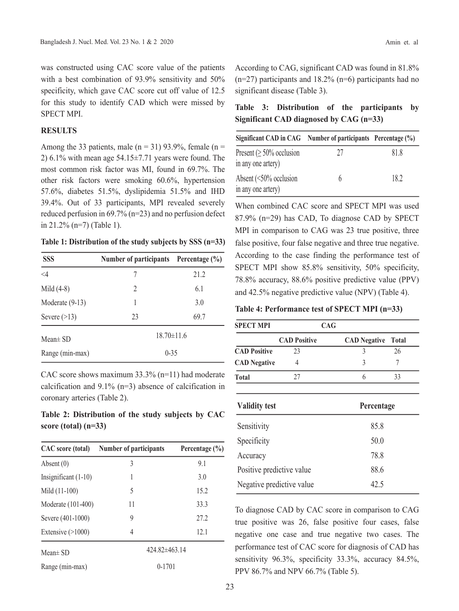was constructed using CAC score value of the patients with a best combination of 93.9% sensitivity and 50% specificity, which gave CAC score cut off value of 12.5 for this study to identify CAD which were missed by SPECT MPI.

#### **RESULTS**

Among the 33 patients, male  $(n = 31)$  93.9%, female  $(n = 1)$ 2) 6.1% with mean age  $54.15 \pm 7.71$  years were found. The most common risk factor was MI, found in 69.7%. The other risk factors were smoking 60.6%, hypertension 57.6%, diabetes 51.5%, dyslipidemia 51.5% and IHD 39.4%. Out of 33 participants, MPI revealed severely reduced perfusion in 69.7% (n=23) and no perfusion defect in 21.2% (n=7) (Table 1).

| Table 1: Distribution of the study subjects by SSS (n=33) |  |  |  |  |  |  |  |  |  |
|-----------------------------------------------------------|--|--|--|--|--|--|--|--|--|
|-----------------------------------------------------------|--|--|--|--|--|--|--|--|--|

| <b>SSS</b>        | Number of participants Percentage (%) |      |  |  |
|-------------------|---------------------------------------|------|--|--|
| $\leq 4$          | 7                                     | 21.2 |  |  |
| Mild $(4-8)$      | $\overline{2}$                        | 6.1  |  |  |
| Moderate $(9-13)$ | 1                                     | 3.0  |  |  |
| Severe $(>13)$    | 23                                    | 69.7 |  |  |
| Mean $\pm$ SD     | $18.70 \pm 11.6$                      |      |  |  |
| Range (min-max)   | $0 - 35$                              |      |  |  |

CAC score shows maximum 33.3% (n=11) had moderate calcification and 9.1% (n=3) absence of calcification in coronary arteries (Table 2).

**Table 2: Distribution of the study subjects by CAC score (total) (n=33)**

| CAC score (total)      | Number of participants | Percentage $(\% )$ |
|------------------------|------------------------|--------------------|
| Absent $(0)$           | 3                      | 9.1                |
| Insignificant $(1-10)$ | 1                      | 3.0                |
| Mild (11-100)          | 5                      | 15.2               |
| Moderate (101-400)     | 11                     | 33.3               |
| Severe (401-1000)      | 9                      | 27.2               |
| Extensive $(>1000)$    | 4                      | 12.1               |
| $Mean \pm SD$          | $424.82\pm463.14$      |                    |
| Range (min-max)        | $0-1701$               |                    |

According to CAG, significant CAD was found in 81.8% (n=27) participants and 18.2% (n=6) participants had no significant disease (Table 3).

**Table 3: Distribution of the participants by Significant CAD diagnosed by CAG (n=33)**

| Significant CAD in CAG Number of participants Percentage (%) |    |      |
|--------------------------------------------------------------|----|------|
| Present ( $\geq$ 50% occlusion<br>in any one artery)         | 77 | 81.8 |
| Absent $(<50\%$ occlusion<br>in any one artery)              | h  | 18.2 |

When combined CAC score and SPECT MPI was used 87.9% (n=29) has CAD, To diagnose CAD by SPECT MPI in comparison to CAG was 23 true positive, three false positive, four false negative and three true negative. According to the case finding the performance test of SPECT MPI show 85.8% sensitivity, 50% specificity, 78.8% accuracy, 88.6% positive predictive value (PPV) and 42.5% negative predictive value (NPV) (Table 4).

**Table 4: Performance test of SPECT MPI (n=33)**

| <b>SPECT MPI</b>          |                     | <b>CAG</b>          |              |  |  |
|---------------------------|---------------------|---------------------|--------------|--|--|
|                           | <b>CAD Positive</b> | <b>CAD Negative</b> | <b>Total</b> |  |  |
| <b>CAD Positive</b>       | 23                  | 3                   | 26           |  |  |
| <b>CAD</b> Negative       | 4                   | 3                   | 7            |  |  |
| <b>Total</b>              | 27                  | 6                   | 33           |  |  |
| <b>Validity test</b>      |                     | Percentage          |              |  |  |
| Sensitivity               |                     | 85.8                |              |  |  |
| Specificity               |                     | 50.0                |              |  |  |
| Accuracy                  |                     |                     | 78.8         |  |  |
| Positive predictive value |                     | 88.6                |              |  |  |
| Negative predictive value |                     | 42.5                |              |  |  |

To diagnose CAD by CAC score in comparison to CAG true positive was 26, false positive four cases, false negative one case and true negative two cases. The performance test of CAC score for diagnosis of CAD has sensitivity 96.3%, specificity 33.3%, accuracy 84.5%, PPV 86.7% and NPV 66.7% (Table 5).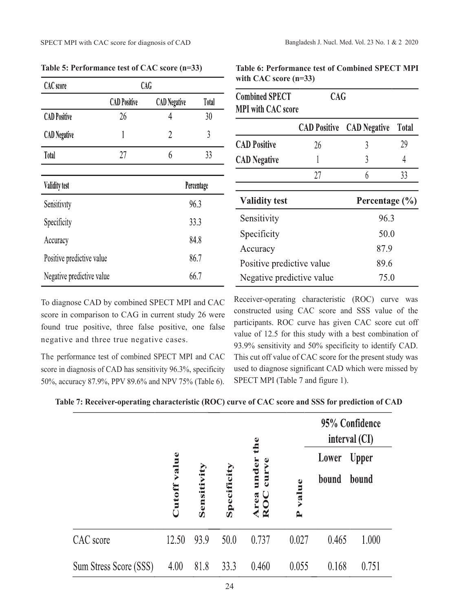| <b>CAC</b> score          | <b>CAG</b>          |                     |              |  |
|---------------------------|---------------------|---------------------|--------------|--|
|                           | <b>CAD Positive</b> | <b>CAD</b> Negative | <b>Total</b> |  |
| <b>CAD Positive</b>       | 26                  | 4                   | 30           |  |
| <b>CAD</b> Negative       | 1                   | $\overline{2}$      | 3            |  |
| Total                     | 27                  | 6                   | 33           |  |
|                           |                     |                     |              |  |
| <b>Validity test</b>      |                     |                     | Percentage   |  |
| Sensitivity               |                     |                     | 96.3         |  |
| Specificity               |                     |                     | 33.3         |  |
| Accuracy                  |                     |                     | 84.8         |  |
| Positive predictive value |                     | 86.7                |              |  |
| Negative predictive value |                     |                     | 66.7         |  |

**Table 5: Performance test of CAC score (n=33)**

| <b>Combined SPECT</b><br><b>MPI</b> with CAC score | <b>CAG</b>          |                     |              |
|----------------------------------------------------|---------------------|---------------------|--------------|
|                                                    | <b>CAD Positive</b> | <b>CAD</b> Negative | <b>Total</b> |
| <b>CAD Positive</b>                                | 26                  | 3                   | 29           |
| <b>CAD</b> Negative                                |                     | 3                   | 4            |
|                                                    | 27                  | 6                   | 33           |
| <b>Validity test</b>                               |                     | Percentage $(\% )$  |              |
| Sensitivity                                        | 96.3                |                     |              |
| Specificity                                        | 50.0                |                     |              |
| Accuracy                                           | 87.9                |                     |              |
| Positive predictive value                          | 89.6                |                     |              |
| Negative predictive value                          | 75.0                |                     |              |

**Table 6: Performance test of Combined SPECT MPI** 

**with CAC score (n=33)**

To diagnose CAD by combined SPECT MPI and CAC score in comparison to CAG in current study 26 were found true positive, three false positive, one false negative and three true negative cases.

The performance test of combined SPECT MPI and CAC score in diagnosis of CAD has sensitivity 96.3%, specificity 50%, accuracy 87.9%, PPV 89.6% and NPV 75% (Table 6).

Receiver-operating characteristic (ROC) curve was constructed using CAC score and SSS value of the participants. ROC curve has given CAC score cut off value of 12.5 for this study with a best combination of 93.9% sensitivity and 50% specificity to identify CAD. This cut off value of CAC score for the present study was used to diagnose significant CAD which were missed by SPECT MPI (Table 7 and figure 1).

| Table 7: Receiver-operating characteristic (ROC) curve of CAC score and SSS for prediction of CAD |  |  |
|---------------------------------------------------------------------------------------------------|--|--|
|---------------------------------------------------------------------------------------------------|--|--|

|                        |        |             |             | the                                                            |            | 95% Confidence<br>interval (CI) |              |
|------------------------|--------|-------------|-------------|----------------------------------------------------------------|------------|---------------------------------|--------------|
|                        | value  |             |             | $\mathbf{v}$ e                                                 |            | Lower                           | <b>Upper</b> |
|                        | Cutoff | Sensitivity | Specificity | under<br>cur<br><b>ca</b><br>$\boldsymbol{\underline{\alpha}}$ | value<br>Δ | bound                           | bound        |
| CAC score              | 12.50  | 93.9        | 50.0        | 0.737                                                          | 0.027      | 0.465                           | 1.000        |
| Sum Stress Score (SSS) | 4.00   | 81.8        | 33.3        | 0.460                                                          | 0.055      | 0.168                           | 0.751        |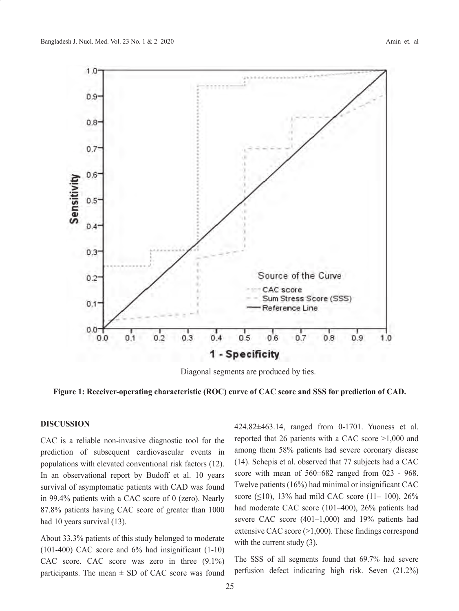

Diagonal segments are produced by ties.

**Figure 1: Receiver-operating characteristic (ROC) curve of CAC score and SSS for prediction of CAD.**

# **DISCUSSION**

CAC is a reliable non-invasive diagnostic tool for the prediction of subsequent cardiovascular events in populations with elevated conventional risk factors (12). In an observational report by Budoff et al. 10 years survival of asymptomatic patients with CAD was found in 99.4% patients with a CAC score of 0 (zero). Nearly 87.8% patients having CAC score of greater than 1000 had 10 years survival (13).

About 33.3% patients of this study belonged to moderate (101-400) CAC score and 6% had insignificant (1-10) CAC score. CAC score was zero in three (9.1%) participants. The mean  $\pm$  SD of CAC score was found 424.82±463.14, ranged from 0-1701. Yuoness et al. reported that 26 patients with a CAC score >1,000 and among them 58% patients had severe coronary disease (14). Schepis et al. observed that 77 subjects had a CAC score with mean of  $560\pm682$  ranged from 023 - 968. Twelve patients (16%) had minimal or insignificant CAC score ( $\leq$ 10), 13% had mild CAC score (11–100), 26% had moderate CAC score (101-400), 26% patients had severe CAC score  $(401-1,000)$  and 19% patients had extensive CAC score (>1,000). These findings correspond with the current study  $(3)$ .

The SSS of all segments found that 69.7% had severe perfusion defect indicating high risk. Seven (21.2%)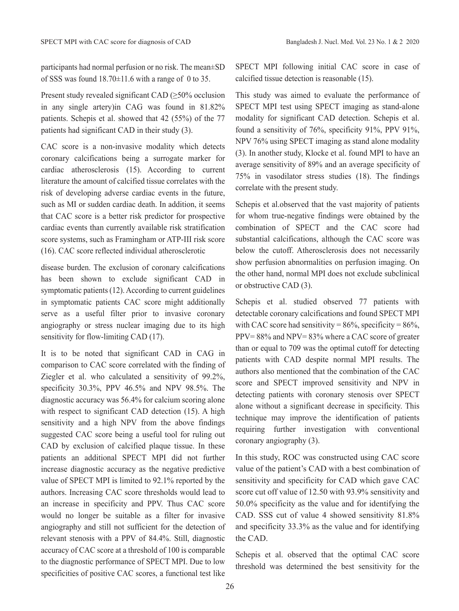participants had normal perfusion or no risk. The mean±SD of SSS was found  $18.70\pm11.6$  with a range of 0 to 35.

Present study revealed significant CAD  $(\geq 50\%$  occlusion in any single artery)in CAG was found in 81.82% patients. Schepis et al. showed that 42 (55%) of the 77 patients had significant CAD in their study (3).

CAC score is a non-invasive modality which detects coronary calcifications being a surrogate marker for cardiac atherosclerosis (15). According to current literature the amount of calcified tissue correlates with the risk of developing adverse cardiac events in the future, such as MI or sudden cardiac death. In addition, it seems that CAC score is a better risk predictor for prospective cardiac events than currently available risk stratification score systems, such as Framingham or ATP-III risk score (16). CAC score reflected individual atherosclerotic

disease burden. The exclusion of coronary calcifications has been shown to exclude significant CAD in symptomatic patients (12). According to current guidelines in symptomatic patients CAC score might additionally serve as a useful filter prior to invasive coronary angiography or stress nuclear imaging due to its high sensitivity for flow-limiting CAD (17).

It is to be noted that significant CAD in CAG in comparison to CAC score correlated with the finding of Ziegler et al. who calculated a sensitivity of 99.2%, specificity 30.3%, PPV 46.5% and NPV 98.5%. The diagnostic accuracy was 56.4% for calcium scoring alone with respect to significant CAD detection (15). A high sensitivity and a high NPV from the above findings suggested CAC score being a useful tool for ruling out CAD by exclusion of calcified plaque tissue. In these patients an additional SPECT MPI did not further increase diagnostic accuracy as the negative predictive value of SPECT MPI is limited to 92.1% reported by the authors. Increasing CAC score thresholds would lead to an increase in specificity and PPV. Thus CAC score would no longer be suitable as a filter for invasive angiography and still not sufficient for the detection of relevant stenosis with a PPV of 84.4%. Still, diagnostic accuracy of CAC score at a threshold of 100 is comparable to the diagnostic performance of SPECT MPI. Due to low specificities of positive CAC scores, a functional test like SPECT MPI following initial CAC score in case of calcified tissue detection is reasonable (15).

This study was aimed to evaluate the performance of SPECT MPI test using SPECT imaging as stand-alone modality for significant CAD detection. Schepis et al. found a sensitivity of 76%, specificity 91%, PPV 91%, NPV 76% using SPECT imaging as stand alone modality (3). In another study, Klocke et al. found MPI to have an average sensitivity of 89% and an average specificity of 75% in vasodilator stress studies (18). The findings correlate with the present study.

Schepis et al.observed that the vast majority of patients for whom true-negative findings were obtained by the combination of SPECT and the CAC score had substantial calcifications, although the CAC score was below the cutoff. Atherosclerosis does not necessarily show perfusion abnormalities on perfusion imaging. On the other hand, normal MPI does not exclude subclinical or obstructive CAD (3).

Schepis et al. studied observed 77 patients with detectable coronary calcifications and found SPECT MPI with CAC score had sensitivity =  $86\%$ , specificity =  $86\%$ , PPV= 88% and NPV= 83% where a CAC score of greater than or equal to 709 was the optimal cutoff for detecting patients with CAD despite normal MPI results. The authors also mentioned that the combination of the CAC score and SPECT improved sensitivity and NPV in detecting patients with coronary stenosis over SPECT alone without a significant decrease in specificity. This technique may improve the identification of patients requiring further investigation with conventional coronary angiography (3).

In this study, ROC was constructed using CAC score value of the patient's CAD with a best combination of sensitivity and specificity for CAD which gave CAC score cut off value of 12.50 with 93.9% sensitivity and 50.0% specificity as the value and for identifying the CAD. SSS cut of value 4 showed sensitivity 81.8% and specificity 33.3% as the value and for identifying the CAD.

Schepis et al. observed that the optimal CAC score threshold was determined the best sensitivity for the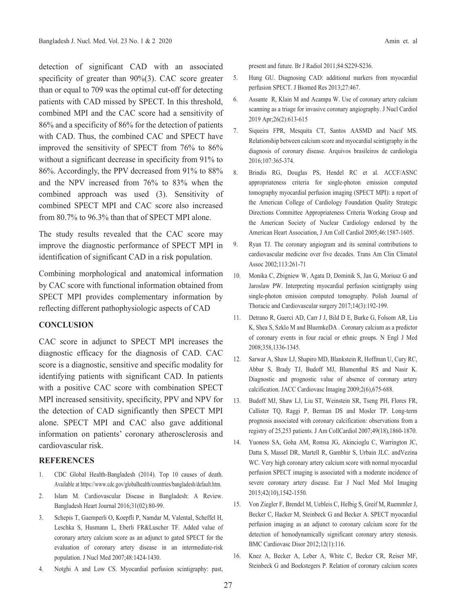detection of significant CAD with an associated specificity of greater than 90%(3). CAC score greater than or equal to 709 was the optimal cut-off for detecting patients with CAD missed by SPECT. In this threshold, combined MPI and the CAC score had a sensitivity of 86% and a specificity of 86% for the detection of patients with CAD. Thus, the combined CAC and SPECT have improved the sensitivity of SPECT from 76% to 86% without a significant decrease in specificity from 91% to 86%. Accordingly, the PPV decreased from 91% to 88% and the NPV increased from 76% to 83% when the combined approach was used (3). Sensitivity of combined SPECT MPI and CAC score also increased from 80.7% to 96.3% than that of SPECT MPI alone.

The study results revealed that the CAC score may improve the diagnostic performance of SPECT MPI in identification of significant CAD in a risk population.

Combining morphological and anatomical information by CAC score with functional information obtained from SPECT MPI provides complementary information by reflecting different pathophysiologic aspects of CAD

## **CONCLUSION**

CAC score in adjunct to SPECT MPI increases the diagnostic efficacy for the diagnosis of CAD. CAC score is a diagnostic, sensitive and specific modality for identifying patients with significant CAD. In patients with a positive CAC score with combination SPECT MPI increased sensitivity, specificity, PPV and NPV for the detection of CAD significantly then SPECT MPI alone. SPECT MPI and CAC also gave additional information on patients' coronary atherosclerosis and cardiovascular risk.

# **REFERENCES**

- 1. CDC Global Health-Bangladesh (2014). Top 10 causes of death. Available at https://www.cdc.gov/globalhealth/countries/bangladesh/default.htm.
- 2. Islam M. Cardiovascular Disease in Bangladesh: A Review. Bangladesh Heart Journal 2016;31(02):80-99.
- 3. Schepis T, Gaemperli O, Koepfli P, Namdar M, ValentaI, Scheffel H, Leschka S, Husmann L, Eberli FR&Luscher TF. Added value of coronary artery calcium score as an adjunct to gated SPECT for the evaluation of coronary artery disease in an intermediate-risk population. J Nucl Med 2007;48:1424-1430.
- 4. Notghi A and Low CS. Myocardial perfusion scintigraphy: past,

present and future. Br J Radiol 2011;84:S229-S236.

- 5. Hung GU. Diagnosing CAD: additional markers from myocardial perfusion SPECT. J Biomed Res 2013;27:467.
- 6. Assante R, Klain M and Acampa W. Use of coronary artery calcium scanning as a triage for invasive coronary angiography. J Nucl Cardiol 2019 Apr;26(2):613-615
- 7. Siqueira FPR, Mesquita CT, Santos AASMD and Nacif MS. Relationship between calcium score and myocardial scintigraphy in the diagnosis of coronary disease. Arquivos brasileiros de cardiologia 2016;107:365-374.
- 8. Brindis RG, Douglas PS, Hendel RC et al. ACCF/ASNC appropriateness criteria for single-photon emission computed tomography myocardial perfusion imaging (SPECT MPI): a report of the American College of Cardiology Foundation Quality Strategic Directions Committee Appropriateness Criteria Working Group and the American Society of Nuclear Cardiology endorsed by the American Heart Association, J Am Coll Cardiol 2005;46:1587-1605.
- 9. Ryan TJ. The coronary angiogram and its seminal contributions to cardiovascular medicine over five decades. Trans Am Clin Climatol Assoc 2002;113:261-71
- 10. Monika C, Zbigniew W, Agata D, Dominik S, Jan G, Moriusz G and Jaroslaw PW. Interpreting myocardial perfusion scintigraphy using single-photon emission computed tomography. Polish Journal of Thoracic and Cardiovascular surgery 2017;14(3):192-199.
- 11. Detrano R, Guerci AD, Carr J J, Bild D E, Burke G, Folsom AR, Liu K, Shea S, Szklo M and BluemkeDA . Coronary calcium as a predictor of coronary events in four racial or ethnic groups. N Engl J Med 2008;358,1336-1345.
- 12. Sarwar A, Shaw LJ, Shapiro MD, Blankstein R, Hoffman U, Cury RC, Abbar S, Brady TJ, Budoff MJ, Blumenthal RS and Nasir K. Diagnostic and prognostic value of absence of coronary artery calcification. JACC Cardiovasc Imaging 2009;2(6),675-688.
- 13. Budoff MJ, Shaw LJ, Liu ST, Weinstein SR, Tseng PH, Flores FR, Callister TQ, Raggi P, Berman DS and Mosler TP. Long-term prognosis associated with coronary calcification: observations from a registry of 25,253 patients. J Am CollCardiol 2007;49(18),1860-1870.
- 14. Yuoness SA, Goha AM, Romsa JG, Akincioglu C, Warrington JC, Datta S, Massel DR, Martell R, Gambhir S, Urbain JLC. andVezina WC. Very high coronary artery calcium score with normal myocardial perfusion SPECT imaging is associated with a moderate incidence of severe coronary artery disease. Eur J Nucl Med Mol Imaging 2015;42(10),1542-1550.
- 15. Von Ziegler F, Brendel M, Uebleis C, Helbig S, Greif M, Ruemmler J, Becker C, Hacker M, Steinbeck G and Becker A. SPECT myocardial perfusion imaging as an adjunct to coronary calcium score for the detection of hemodynamically significant coronary artery stenosis. BMC Cardiovasc Disor 2012;12(1):116.
- 16. Knez A, Becker A, Leber A, White C, Becker CR, Reiser MF, Steinbeck G and Boekstegers P. Relation of coronary calcium scores